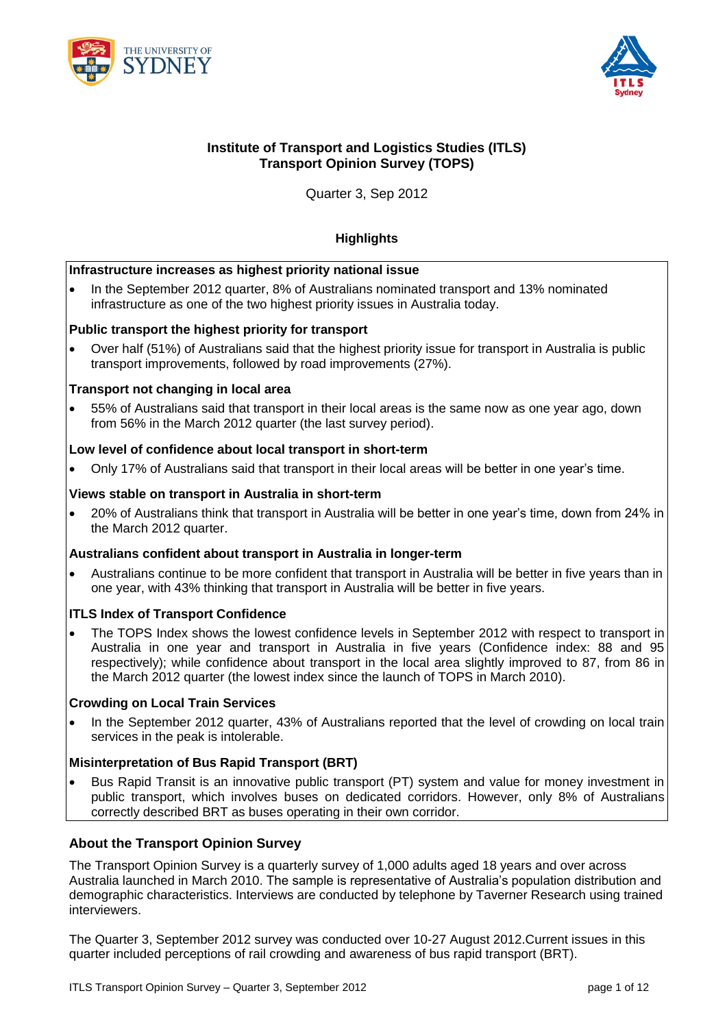



## **Institute of Transport and Logistics Studies (ITLS) Transport Opinion Survey (TOPS)**

Quarter 3, Sep 2012

## **Highlights**

#### **Infrastructure increases as highest priority national issue**

• In the September 2012 quarter, 8% of Australians nominated transport and 13% nominated infrastructure as one of the two highest priority issues in Australia today.

### **Public transport the highest priority for transport**

Over half (51%) of Australians said that the highest priority issue for transport in Australia is public transport improvements, followed by road improvements (27%).

### **Transport not changing in local area**

 55% of Australians said that transport in their local areas is the same now as one year ago, down from 56% in the March 2012 quarter (the last survey period).

### **Low level of confidence about local transport in short-term**

Only 17% of Australians said that transport in their local areas will be better in one year's time.

#### **Views stable on transport in Australia in short-term**

 20% of Australians think that transport in Australia will be better in one year's time, down from 24% in the March 2012 quarter.

#### **Australians confident about transport in Australia in longer-term**

 Australians continue to be more confident that transport in Australia will be better in five years than in one year, with 43% thinking that transport in Australia will be better in five years.

#### **ITLS Index of Transport Confidence**

 The TOPS Index shows the lowest confidence levels in September 2012 with respect to transport in Australia in one year and transport in Australia in five years (Confidence index: 88 and 95 respectively); while confidence about transport in the local area slightly improved to 87, from 86 in the March 2012 quarter (the lowest index since the launch of TOPS in March 2010).

#### **Crowding on Local Train Services**

 In the September 2012 quarter, 43% of Australians reported that the level of crowding on local train services in the peak is intolerable.

#### **Misinterpretation of Bus Rapid Transport (BRT)**

 Bus Rapid Transit is an innovative public transport (PT) system and value for money investment in public transport, which involves buses on dedicated corridors. However, only 8% of Australians correctly described BRT as buses operating in their own corridor.

## **About the Transport Opinion Survey**

The Transport Opinion Survey is a quarterly survey of 1,000 adults aged 18 years and over across Australia launched in March 2010. The sample is representative of Australia's population distribution and demographic characteristics. Interviews are conducted by telephone by Taverner Research using trained interviewers.

The Quarter 3, September 2012 survey was conducted over 10-27 August 2012.Current issues in this quarter included perceptions of rail crowding and awareness of bus rapid transport (BRT).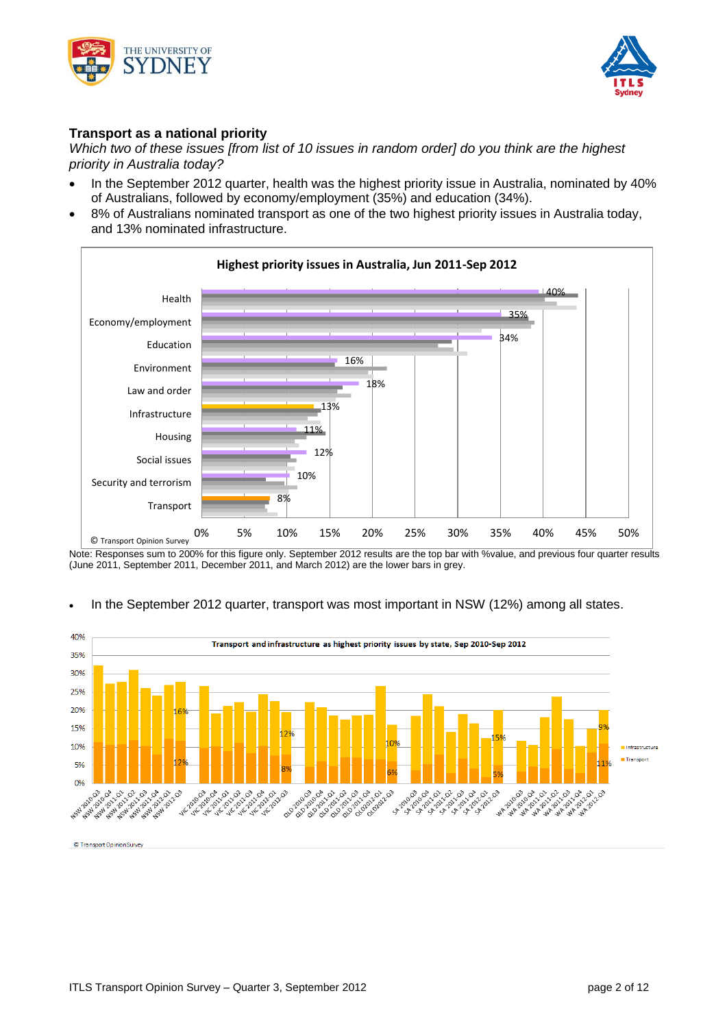



## **Transport as a national priority**

*Which two of these issues [from list of 10 issues in random order] do you think are the highest priority in Australia today?*

- In the September 2012 quarter, health was the highest priority issue in Australia, nominated by 40% of Australians, followed by economy/employment (35%) and education (34%).
- 8% of Australians nominated transport as one of the two highest priority issues in Australia today, and 13% nominated infrastructure.



Note: Responses sum to 200% for this figure only. September 2012 results are the top bar with %value, and previous four quarter results (June 2011, September 2011, December 2011, and March 2012) are the lower bars in grey.

#### 40% Transport and infrastructure as highest priority issues by state, Sep 2010-Sep 2012 35% 30% 25% 20% 15% 10% **Transport** 5% A 454 ASH ASH  $^{\circ}$ ASW 2012 1-2011-03 **Production** A 101.02 **010-02-02-02-02-02-02** A 103-03 2008-02-02-03-02-02-02-03<br>19-02-02-02-02-02-02-02-03<br>10-11-02-02-02-02-02-03-03-03-03-03-03-03-02-03-02-03-02-03-03-02-03-02-03-03-03-03-03-03-03-03-03-03-03-03-0 2 02 02 02 03 04 02 03  $\mathcal{L}$ **023** 2010 Quo poind 2010-02/01 **41C-2010** 23.08.10 **WA 2010-WA 24P AIR AIR 41A 41A** 0.2 2010 **AP 24P POLY** `ನಿ NSW 1554 45.00

## • In the September 2012 quarter, transport was most important in NSW (12%) among all states.

© Transport Opinion Survey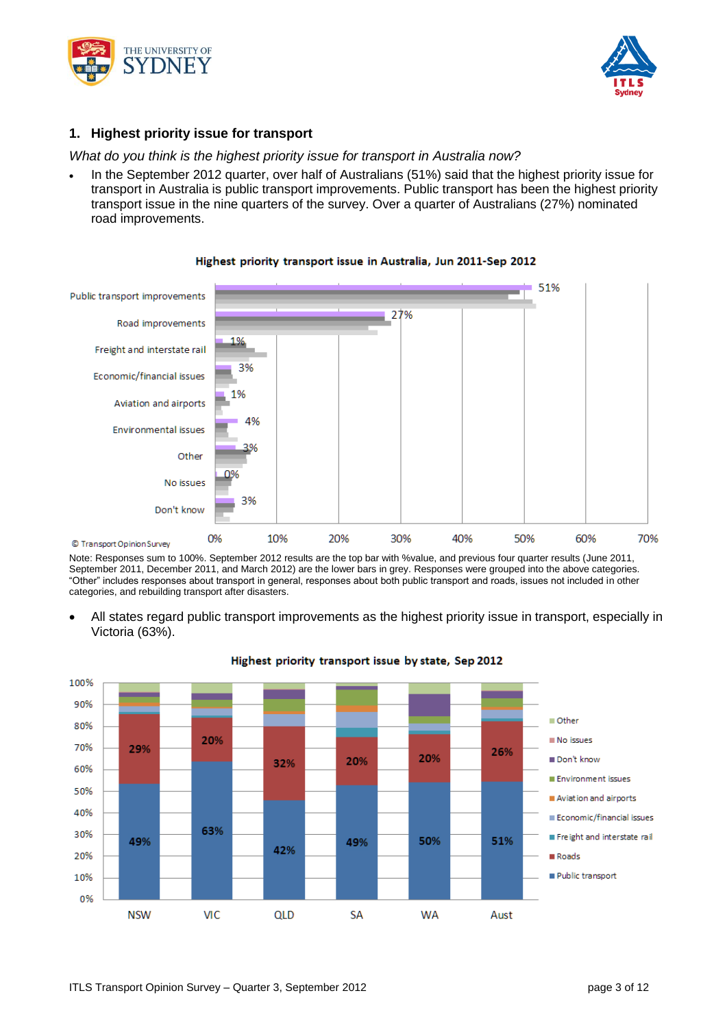



## **1. Highest priority issue for transport**

*What do you think is the highest priority issue for transport in Australia now?*

 In the September 2012 quarter, over half of Australians (51%) said that the highest priority issue for transport in Australia is public transport improvements. Public transport has been the highest priority transport issue in the nine quarters of the survey. Over a quarter of Australians (27%) nominated road improvements.



#### Highest priority transport issue in Australia, Jun 2011-Sep 2012

Note: Responses sum to 100%. September 2012 results are the top bar with %value, and previous four quarter results (June 2011, September 2011, December 2011, and March 2012) are the lower bars in grey. Responses were grouped into the above categories. "Other" includes responses about transport in general, responses about both public transport and roads, issues not included in other categories, and rebuilding transport after disasters.

 All states regard public transport improvements as the highest priority issue in transport, especially in Victoria (63%).

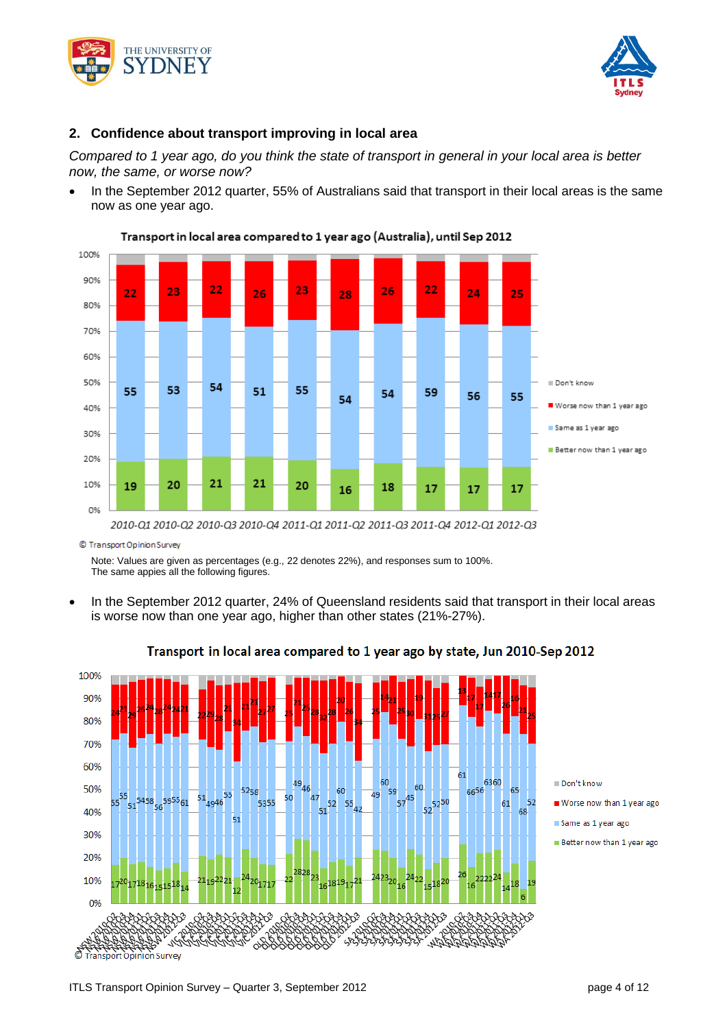



## **2. Confidence about transport improving in local area**

*Compared to 1 year ago, do you think the state of transport in general in your local area is better now, the same, or worse now?*

 In the September 2012 quarter, 55% of Australians said that transport in their local areas is the same now as one year ago.





© Transport Opinion Survey

Note: Values are given as percentages (e.g., 22 denotes 22%), and responses sum to 100%. The same appies all the following figures.

 In the September 2012 quarter, 24% of Queensland residents said that transport in their local areas is worse now than one year ago, higher than other states (21%-27%).



## Transport in local area compared to 1 year ago by state, Jun 2010-Sep 2012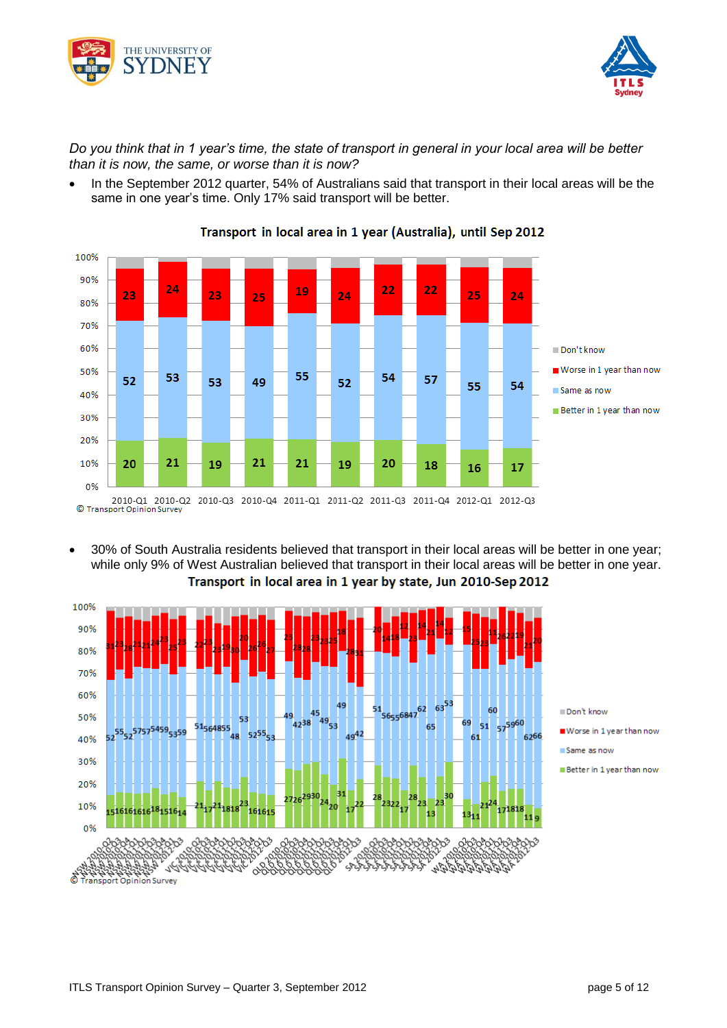



*Do you think that in 1 year's time, the state of transport in general in your local area will be better than it is now, the same, or worse than it is now?*

• In the September 2012 quarter, 54% of Australians said that transport in their local areas will be the same in one year's time. Only 17% said transport will be better.



## Transport in local area in 1 year (Australia), until Sep 2012

 30% of South Australia residents believed that transport in their local areas will be better in one year; while only 9% of West Australian believed that transport in their local areas will be better in one year.Transport in local area in 1 year by state, Jun 2010-Sep 2012

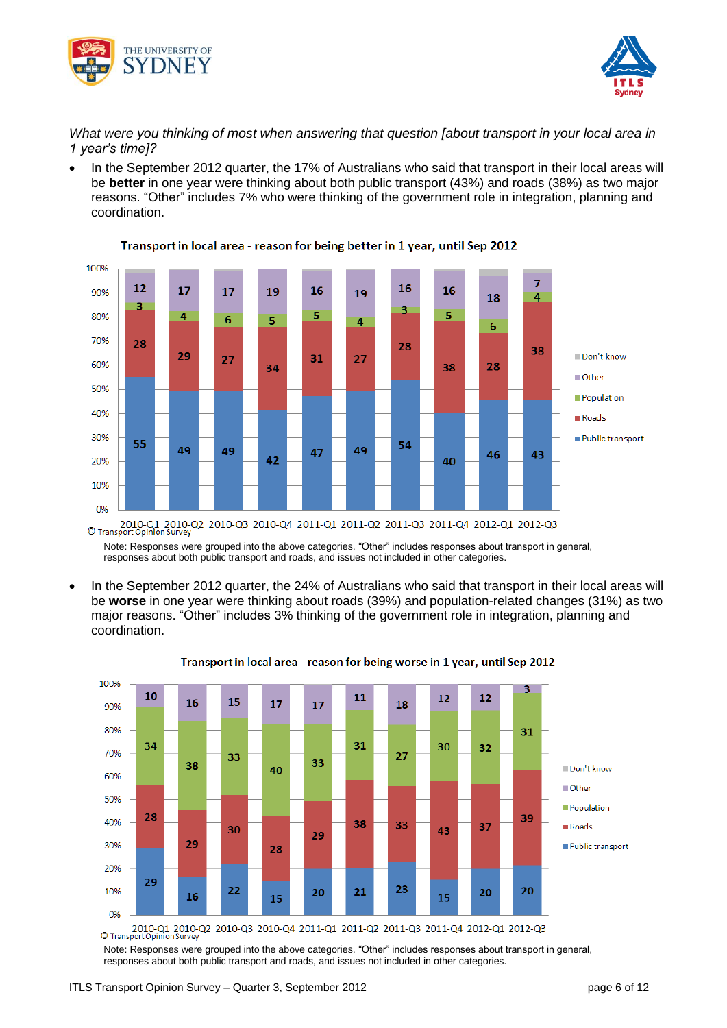



*What were you thinking of most when answering that question [about transport in your local area in 1 year's time]?*

 In the September 2012 quarter, the 17% of Australians who said that transport in their local areas will be **better** in one year were thinking about both public transport (43%) and roads (38%) as two major reasons. "Other" includes 7% who were thinking of the government role in integration, planning and coordination.



Transport in local area - reason for being better in 1 year, until Sep 2012

Note: Responses were grouped into the above categories. "Other" includes responses about transport in general, responses about both public transport and roads, and issues not included in other categories.

 In the September 2012 quarter, the 24% of Australians who said that transport in their local areas will be **worse** in one year were thinking about roads (39%) and population-related changes (31%) as two major reasons. "Other" includes 3% thinking of the government role in integration, planning and coordination.



Transport in local area - reason for being worse in 1 year, until Sep 2012

Note: Responses were grouped into the above categories. "Other" includes responses about transport in general, responses about both public transport and roads, and issues not included in other categories.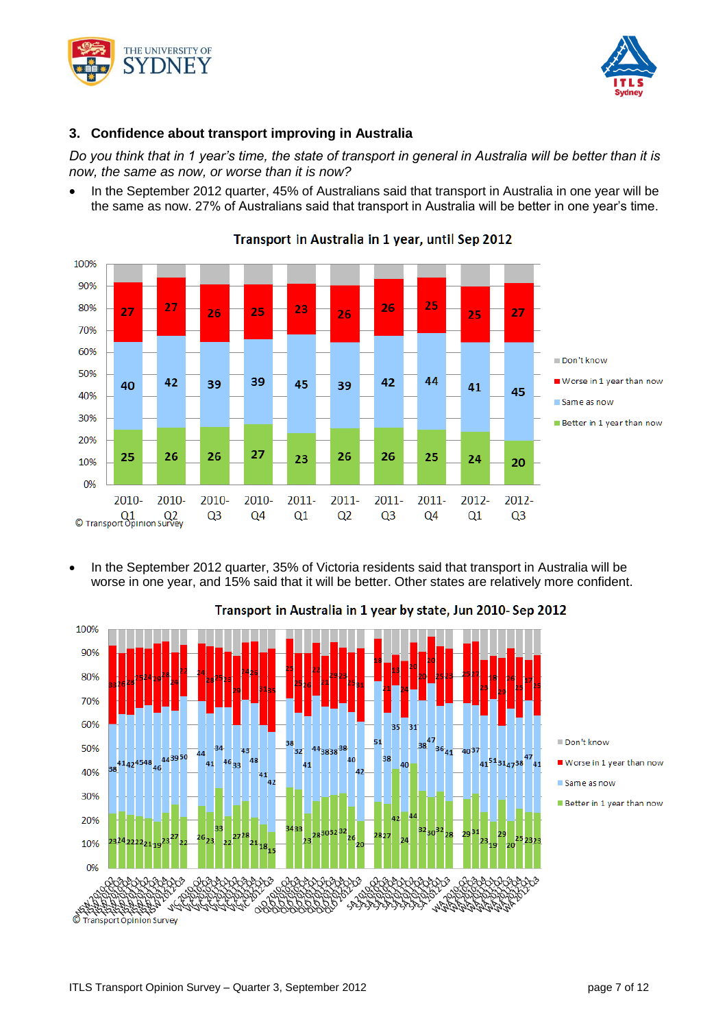



## **3. Confidence about transport improving in Australia**

*Do you think that in 1 year's time, the state of transport in general in Australia will be better than it is now, the same as now, or worse than it is now?*

 In the September 2012 quarter, 45% of Australians said that transport in Australia in one year will be the same as now. 27% of Australians said that transport in Australia will be better in one year's time.



Transport in Australia in 1 year, until Sep 2012

 In the September 2012 quarter, 35% of Victoria residents said that transport in Australia will be worse in one year, and 15% said that it will be better. Other states are relatively more confident.



# Transport in Australia in 1 year by state, Jun 2010- Sep 2012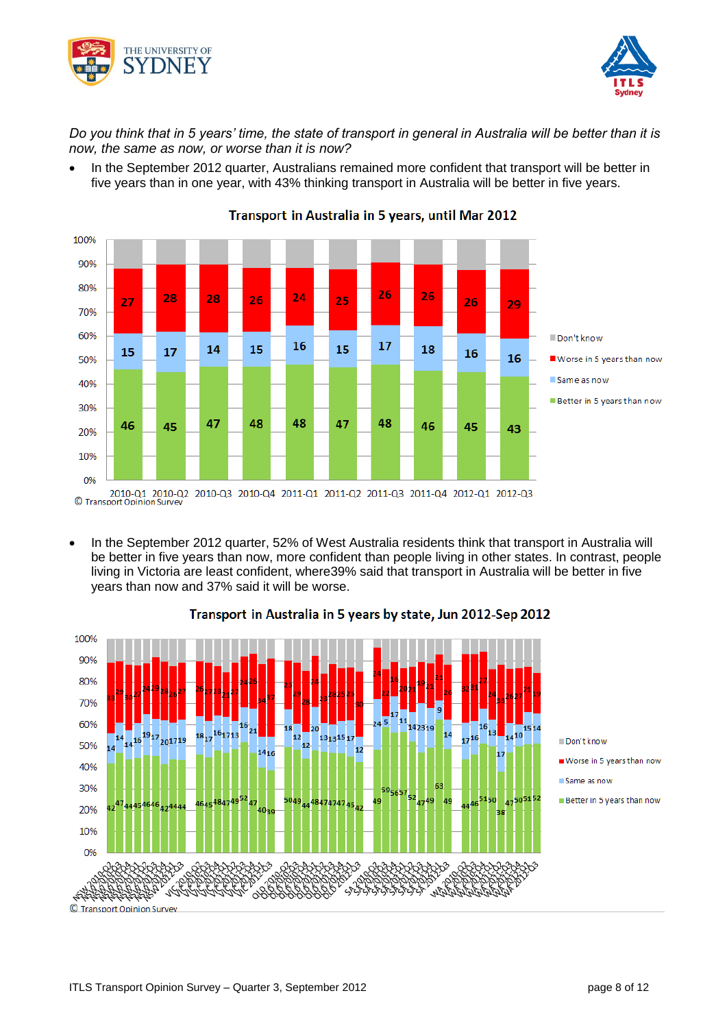



*Do you think that in 5 years' time, the state of transport in general in Australia will be better than it is now, the same as now, or worse than it is now?*

 In the September 2012 quarter, Australians remained more confident that transport will be better in five years than in one year, with 43% thinking transport in Australia will be better in five years.



Transport in Australia in 5 years, until Mar 2012

 In the September 2012 quarter, 52% of West Australia residents think that transport in Australia will be better in five years than now, more confident than people living in other states. In contrast, people living in Victoria are least confident, where39% said that transport in Australia will be better in five years than now and 37% said it will be worse.



## Transport in Australia in 5 years by state, Jun 2012-Sep 2012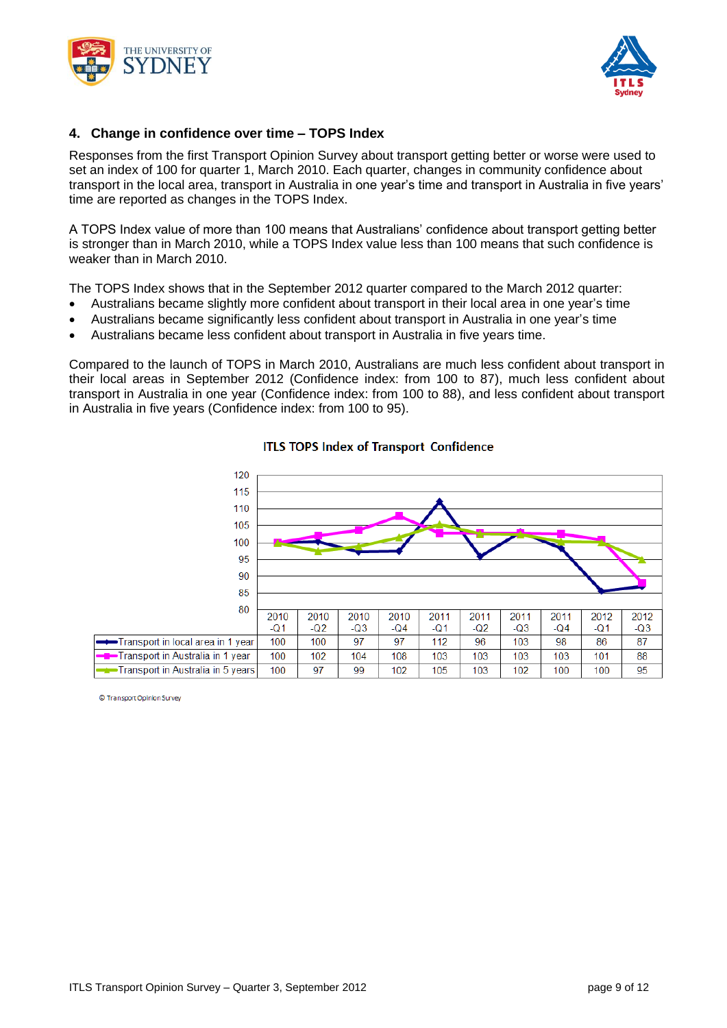



### **4. Change in confidence over time – TOPS Index**

Responses from the first Transport Opinion Survey about transport getting better or worse were used to set an index of 100 for quarter 1, March 2010. Each quarter, changes in community confidence about transport in the local area, transport in Australia in one year's time and transport in Australia in five years' time are reported as changes in the TOPS Index.

A TOPS Index value of more than 100 means that Australians' confidence about transport getting better is stronger than in March 2010, while a TOPS Index value less than 100 means that such confidence is weaker than in March 2010.

The TOPS Index shows that in the September 2012 quarter compared to the March 2012 quarter:

- Australians became slightly more confident about transport in their local area in one year's time
- Australians became significantly less confident about transport in Australia in one year's time
- Australians became less confident about transport in Australia in five years time.

Compared to the launch of TOPS in March 2010, Australians are much less confident about transport in their local areas in September 2012 (Confidence index: from 100 to 87), much less confident about transport in Australia in one year (Confidence index: from 100 to 88), and less confident about transport in Australia in five years (Confidence index: from 100 to 95).



#### **ITLS TOPS Index of Transport Confidence**

© Transport Opinion Survey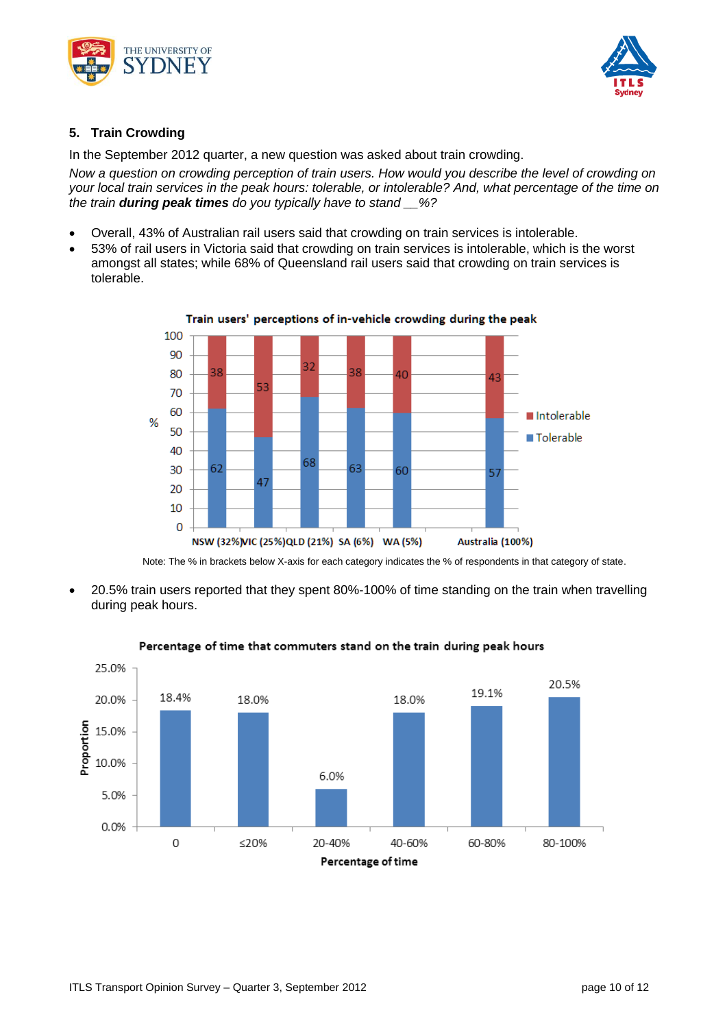



## **5. Train Crowding**

In the September 2012 quarter, a new question was asked about train crowding.

*Now a question on crowding perception of train users. How would you describe the level of crowding on your local train services in the peak hours: tolerable, or intolerable? And, what percentage of the time on the train during peak times do you typically have to stand \_\_%?*

- Overall, 43% of Australian rail users said that crowding on train services is intolerable.
- 53% of rail users in Victoria said that crowding on train services is intolerable, which is the worst amongst all states; while 68% of Queensland rail users said that crowding on train services is tolerable.



Train users' perceptions of in-vehicle crowding during the peak

Note: The % in brackets below X-axis for each category indicates the % of respondents in that category of state.

 20.5% train users reported that they spent 80%-100% of time standing on the train when travelling during peak hours.



#### Percentage of time that commuters stand on the train during peak hours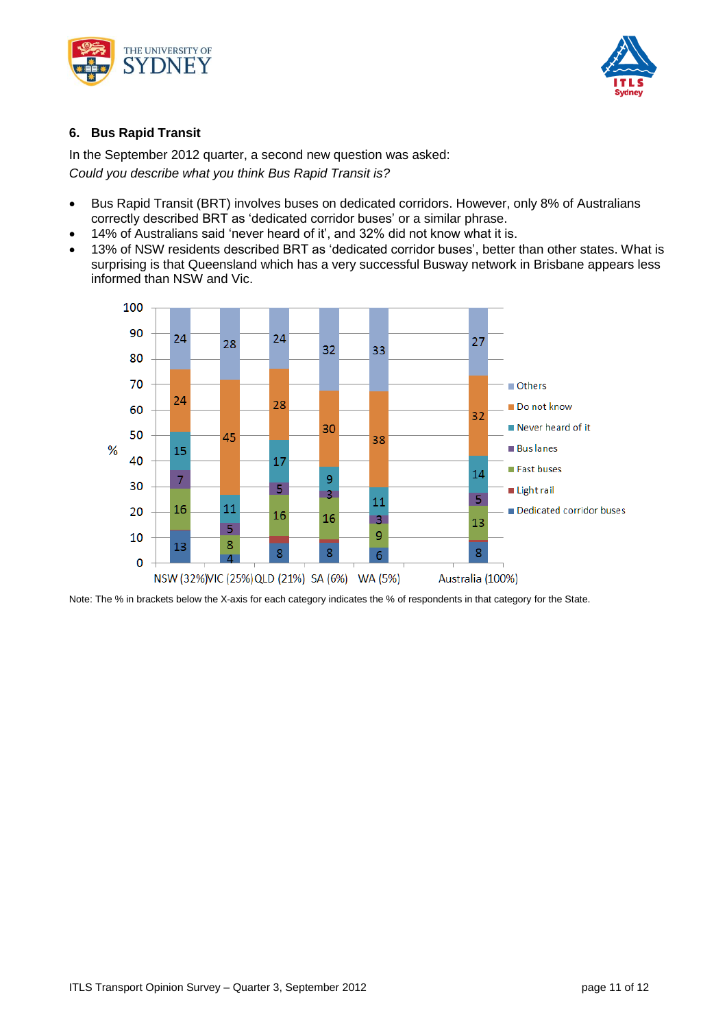



## **6. Bus Rapid Transit**

In the September 2012 quarter, a second new question was asked: *Could you describe what you think Bus Rapid Transit is?*

- Bus Rapid Transit (BRT) involves buses on dedicated corridors. However, only 8% of Australians correctly described BRT as 'dedicated corridor buses' or a similar phrase.
- 14% of Australians said 'never heard of it', and 32% did not know what it is.
- 13% of NSW residents described BRT as 'dedicated corridor buses', better than other states. What is surprising is that Queensland which has a very successful Busway network in Brisbane appears less informed than NSW and Vic.



Note: The % in brackets below the X-axis for each category indicates the % of respondents in that category for the State.